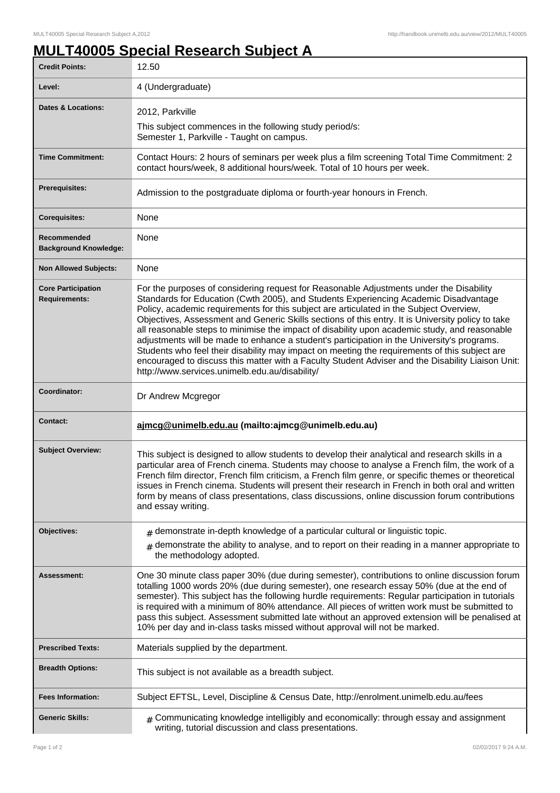## **MULT40005 Special Research Subject A**

| <b>Credit Points:</b>                       | 12.50                                                                                                                                                                                                                                                                                                                                                                                                                                                                                                                                                                                                                                                                                                                                                                                                                                   |
|---------------------------------------------|-----------------------------------------------------------------------------------------------------------------------------------------------------------------------------------------------------------------------------------------------------------------------------------------------------------------------------------------------------------------------------------------------------------------------------------------------------------------------------------------------------------------------------------------------------------------------------------------------------------------------------------------------------------------------------------------------------------------------------------------------------------------------------------------------------------------------------------------|
| Level:                                      | 4 (Undergraduate)                                                                                                                                                                                                                                                                                                                                                                                                                                                                                                                                                                                                                                                                                                                                                                                                                       |
| <b>Dates &amp; Locations:</b>               | 2012, Parkville                                                                                                                                                                                                                                                                                                                                                                                                                                                                                                                                                                                                                                                                                                                                                                                                                         |
|                                             | This subject commences in the following study period/s:<br>Semester 1, Parkville - Taught on campus.                                                                                                                                                                                                                                                                                                                                                                                                                                                                                                                                                                                                                                                                                                                                    |
| <b>Time Commitment:</b>                     | Contact Hours: 2 hours of seminars per week plus a film screening Total Time Commitment: 2<br>contact hours/week, 8 additional hours/week. Total of 10 hours per week.                                                                                                                                                                                                                                                                                                                                                                                                                                                                                                                                                                                                                                                                  |
| Prerequisites:                              | Admission to the postgraduate diploma or fourth-year honours in French.                                                                                                                                                                                                                                                                                                                                                                                                                                                                                                                                                                                                                                                                                                                                                                 |
| <b>Corequisites:</b>                        | None                                                                                                                                                                                                                                                                                                                                                                                                                                                                                                                                                                                                                                                                                                                                                                                                                                    |
| Recommended<br><b>Background Knowledge:</b> | None                                                                                                                                                                                                                                                                                                                                                                                                                                                                                                                                                                                                                                                                                                                                                                                                                                    |
| <b>Non Allowed Subjects:</b>                | None                                                                                                                                                                                                                                                                                                                                                                                                                                                                                                                                                                                                                                                                                                                                                                                                                                    |
| <b>Core Participation</b><br>Requirements:  | For the purposes of considering request for Reasonable Adjustments under the Disability<br>Standards for Education (Cwth 2005), and Students Experiencing Academic Disadvantage<br>Policy, academic requirements for this subject are articulated in the Subject Overview,<br>Objectives, Assessment and Generic Skills sections of this entry. It is University policy to take<br>all reasonable steps to minimise the impact of disability upon academic study, and reasonable<br>adjustments will be made to enhance a student's participation in the University's programs.<br>Students who feel their disability may impact on meeting the requirements of this subject are<br>encouraged to discuss this matter with a Faculty Student Adviser and the Disability Liaison Unit:<br>http://www.services.unimelb.edu.au/disability/ |
| Coordinator:                                | Dr Andrew Mcgregor                                                                                                                                                                                                                                                                                                                                                                                                                                                                                                                                                                                                                                                                                                                                                                                                                      |
| <b>Contact:</b>                             | ajmcg@unimelb.edu.au (mailto:ajmcg@unimelb.edu.au)                                                                                                                                                                                                                                                                                                                                                                                                                                                                                                                                                                                                                                                                                                                                                                                      |
| <b>Subject Overview:</b>                    | This subject is designed to allow students to develop their analytical and research skills in a<br>particular area of French cinema. Students may choose to analyse a French film, the work of a<br>French film director, French film criticism, a French film genre, or specific themes or theoretical<br>issues in French cinema. Students will present their research in French in both oral and written<br>form by means of class presentations, class discussions, online discussion forum contributions<br>and essay writing.                                                                                                                                                                                                                                                                                                     |
| Objectives:                                 | demonstrate in-depth knowledge of a particular cultural or linguistic topic.<br>#                                                                                                                                                                                                                                                                                                                                                                                                                                                                                                                                                                                                                                                                                                                                                       |
|                                             | demonstrate the ability to analyse, and to report on their reading in a manner appropriate to<br>the methodology adopted.                                                                                                                                                                                                                                                                                                                                                                                                                                                                                                                                                                                                                                                                                                               |
| Assessment:                                 | One 30 minute class paper 30% (due during semester), contributions to online discussion forum<br>totalling 1000 words 20% (due during semester), one research essay 50% (due at the end of<br>semester). This subject has the following hurdle requirements: Regular participation in tutorials<br>is required with a minimum of 80% attendance. All pieces of written work must be submitted to<br>pass this subject. Assessment submitted late without an approved extension will be penalised at<br>10% per day and in-class tasks missed without approval will not be marked.                                                                                                                                                                                                                                                       |
| <b>Prescribed Texts:</b>                    | Materials supplied by the department.                                                                                                                                                                                                                                                                                                                                                                                                                                                                                                                                                                                                                                                                                                                                                                                                   |
| <b>Breadth Options:</b>                     | This subject is not available as a breadth subject.                                                                                                                                                                                                                                                                                                                                                                                                                                                                                                                                                                                                                                                                                                                                                                                     |
| <b>Fees Information:</b>                    | Subject EFTSL, Level, Discipline & Census Date, http://enrolment.unimelb.edu.au/fees                                                                                                                                                                                                                                                                                                                                                                                                                                                                                                                                                                                                                                                                                                                                                    |
| <b>Generic Skills:</b>                      | $#$ Communicating knowledge intelligibly and economically: through essay and assignment<br>writing, tutorial discussion and class presentations.                                                                                                                                                                                                                                                                                                                                                                                                                                                                                                                                                                                                                                                                                        |